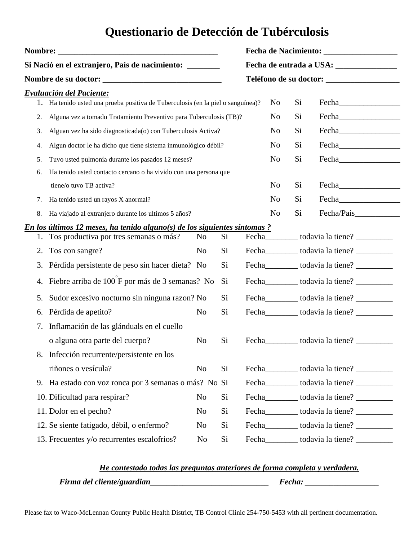## **Questionario de Detección de Tubérculosis**

| Si Nació en el extranjero, País de nacimiento: _______ |                                                                               |                |    |  |                |    |                         |  |  |
|--------------------------------------------------------|-------------------------------------------------------------------------------|----------------|----|--|----------------|----|-------------------------|--|--|
|                                                        | <b>Nombre de su doctor: __________________________________</b>                |                |    |  |                |    |                         |  |  |
|                                                        | Evaluación del Paciente:                                                      |                |    |  |                |    |                         |  |  |
|                                                        | Ha tenido usted una prueba positiva de Tuberculosis (en la piel o sanguínea)? |                |    |  | No             | Si |                         |  |  |
| 2.                                                     | Alguna vez a tomado Tratamiento Preventivo para Tuberculosis (TB)?            |                |    |  | No             | Si | Fecha <b>Exercísion</b> |  |  |
| 3.                                                     | Alguan vez ha sido diagnosticada(o) con Tuberculosis Activa?                  |                |    |  | No             | Si |                         |  |  |
| 4.                                                     | Algun doctor le ha dicho que tiene sistema inmunológico débil?                |                |    |  | No             | Si |                         |  |  |
| 5.                                                     | Tuvo usted pulmonía durante los pasados 12 meses?                             |                |    |  | No             | Si | Fecha <b>Exercísion</b> |  |  |
| 6.                                                     | Ha tenido usted contacto cercano o ha vivido con una persona que              |                |    |  |                |    |                         |  |  |
|                                                        | tiene/o tuvo TB activa?                                                       |                |    |  | N <sub>o</sub> | Si |                         |  |  |
| 7.                                                     | Ha tenido usted un rayos X anormal?                                           |                |    |  | N <sub>o</sub> | Si | Fecha <b>Exercísion</b> |  |  |
| 8.                                                     | Ha viajado al extranjero durante los ultímos 5 años?                          |                |    |  | N <sub>o</sub> | Si | Fecha/Pais              |  |  |
|                                                        | En los últimos 12 meses, ha tenido alguno(s) de los siguientes síntomas ?     |                |    |  |                |    |                         |  |  |
| 1.                                                     | Tos productiva por tres semanas o más?                                        | N <sub>0</sub> | Si |  |                |    |                         |  |  |
| 2.                                                     | Tos con sangre?                                                               | N <sub>0</sub> | Si |  |                |    |                         |  |  |
| 3.                                                     | Pérdida persistente de peso sin hacer dieta? No                               |                | Si |  |                |    |                         |  |  |
| 4.                                                     | Fiebre arriba de 100 F por más de 3 semanas? No                               |                | Si |  |                |    |                         |  |  |
| 5.                                                     | Sudor excesivo nocturno sin ninguna razon? No                                 |                | Si |  |                |    |                         |  |  |
| 6.                                                     | Pérdida de apetito?                                                           | N <sub>0</sub> | Si |  |                |    |                         |  |  |
| 7.                                                     | Inflamación de las glánduals en el cuello                                     |                |    |  |                |    |                         |  |  |
|                                                        | o alguna otra parte del cuerpo?                                               | N <sub>0</sub> | Si |  |                |    |                         |  |  |
|                                                        | 8. Infección recurrente/persistente en los                                    |                |    |  |                |    |                         |  |  |
|                                                        | riñones o vesícula?                                                           | No             | Si |  |                |    |                         |  |  |
|                                                        | 9. Ha estado con voz ronca por 3 semanas o más? No Si                         |                |    |  |                |    |                         |  |  |
|                                                        | 10. Dificultad para respirar?                                                 | N <sub>o</sub> | Si |  |                |    |                         |  |  |
|                                                        | 11. Dolor en el pecho?                                                        | No             | Si |  |                |    |                         |  |  |
|                                                        | 12. Se siente fatigado, débil, o enfermo?                                     | No             | Si |  |                |    |                         |  |  |
|                                                        | 13. Frecuentes y/o recurrentes escalofrios?                                   | No             | Si |  |                |    |                         |  |  |
|                                                        |                                                                               |                |    |  |                |    |                         |  |  |

## *He contestado todas las preguntas anteriores de forma completa y verdadera.*

 *Firma del cliente/guardian\_\_\_\_\_\_\_\_\_\_\_\_\_\_\_\_\_\_\_\_\_\_\_\_\_\_\_\_\_ Fecha: \_\_\_\_\_\_\_\_\_\_\_\_\_\_\_\_\_\_*